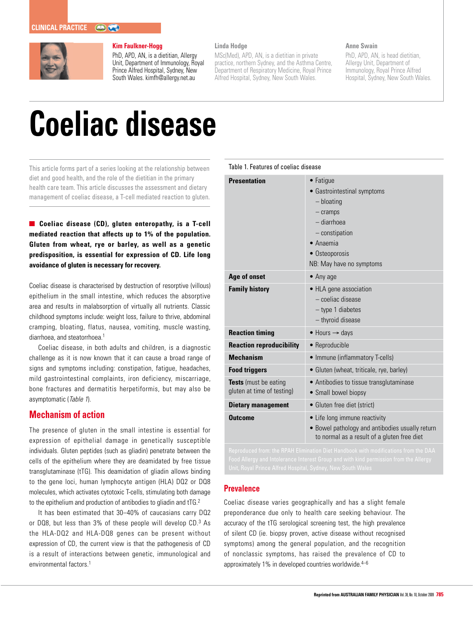

### **Kim Faulkner-Hogg**

PhD, APD, AN, is a dietitian, Allergy Unit, Department of Immunology, Royal Prince Alfred Hospital, Sydney, New South Wales. kimfh@allergy.net.au

# **Linda Hodge**

MSc(Med), APD, AN, is a dietitian in private practice, northern Sydney, and the Asthma Centre, Department of Respiratory Medicine, Royal Prince Alfred Hospital, Sydney, New South Wales.

## **Anne Swain**

PhD, APD, AN, is head dietitian, Allergy Unit, Department of Immunology, Royal Prince Alfred Hospital, Sydney, New South Wales.

# **Coeliac disease**

This article forms part of a series looking at the relationship between diet and good health, and the role of the dietitian in the primary health care team. This article discusses the assessment and dietary management of coeliac disease, a T-cell mediated reaction to gluten.

**Coeliac disease (CD), gluten enteropathy, is a T-cell mediated reaction that affects up to 1% of the population. Gluten from wheat, rye or barley, as well as a genetic predisposition, is essential for expression of CD. Life long avoidance of gluten is necessary for recovery.** 

Coeliac disease is characterised by destruction of resorptive (villous) epithelium in the small intestine, which reduces the absorptive area and results in malabsorption of virtually all nutrients. Classic childhood symptoms include: weight loss, failure to thrive, abdominal cramping, bloating, flatus, nausea, vomiting, muscle wasting, diarrhoea, and steatorrhoea.<sup>1</sup>

Coeliac disease, in both adults and children, is a diagnostic challenge as it is now known that it can cause a broad range of signs and symptoms including: constipation, fatigue, headaches, mild gastrointestinal complaints, iron deficiency, miscarriage, bone fractures and dermatitis herpetiformis, but may also be asymptomatic (Table 1).

# **Mechanism of action**

The presence of gluten in the small intestine is essential for expression of epithelial damage in genetically susceptible individuals. Gluten peptides (such as gliadin) penetrate between the cells of the epithelium where they are deamidated by free tissue transglutaminase (tTG). This deamidation of gliadin allows binding to the gene loci, human lymphocyte antigen (HLA) DQ2 or DQ8 molecules, which activates cytotoxic T-cells, stimulating both damage to the epithelium and production of antibodies to gliadin and tTG.2

It has been estimated that 30–40% of caucasians carry DQ2 or DQ8, but less than 3% of these people will develop CD.<sup>3</sup> As the HLA-DQ2 and HLA-DQ8 genes can be present without expression of CD, the current view is that the pathogenesis of CD is a result of interactions between genetic, immunological and environmental factors.<sup>1</sup>

| Table 1. Features of coeliac disease                                                       |                                                                                                                                                                              |  |  |  |
|--------------------------------------------------------------------------------------------|------------------------------------------------------------------------------------------------------------------------------------------------------------------------------|--|--|--|
| <b>Presentation</b>                                                                        | • Fatigue<br>• Gastrointestinal symptoms<br>$-$ bloating<br>$-$ cramps<br>- diarrhoea<br>$-$ constipation<br>$\bullet$ Anaemia<br>• Osteoporosis<br>NB: May have no symptoms |  |  |  |
| Age of onset                                                                               | $\bullet$ Any age                                                                                                                                                            |  |  |  |
| <b>Family history</b>                                                                      | • HLA gene association<br>- coeliac disease<br>$-$ type 1 diabetes<br>- thyroid disease                                                                                      |  |  |  |
| <b>Reaction timing</b>                                                                     | $\bullet$ Hours $\rightarrow$ days                                                                                                                                           |  |  |  |
| <b>Reaction reproducibility</b>                                                            | • Reproducible                                                                                                                                                               |  |  |  |
| <b>Mechanism</b>                                                                           | • Immune (inflammatory T-cells)                                                                                                                                              |  |  |  |
| <b>Food triggers</b>                                                                       | • Gluten (wheat, triticale, rye, barley)                                                                                                                                     |  |  |  |
| Tests (must be eating<br>gluten at time of testing)                                        | • Antibodies to tissue transglutaminase<br>• Small bowel biopsy                                                                                                              |  |  |  |
| <b>Dietary management</b>                                                                  | • Gluten free diet (strict)                                                                                                                                                  |  |  |  |
| <b>Outcome</b>                                                                             | • Life long immune reactivity<br>· Bowel pathology and antibodies usually return<br>to normal as a result of a gluten free diet                                              |  |  |  |
| <b>Reproduced from: the RPAH Flimination Diet Handhook with modifications from the DAA</b> |                                                                                                                                                                              |  |  |  |

# **Prevalence**

Coeliac disease varies geographically and has a slight female preponderance due only to health care seeking behaviour. The accuracy of the tTG serological screening test, the high prevalence of silent CD (ie. biopsy proven, active disease without recognised symptoms) among the general population, and the recognition of nonclassic symptoms, has raised the prevalence of CD to approximately 1% in developed countries worldwide.<sup>4-6</sup>